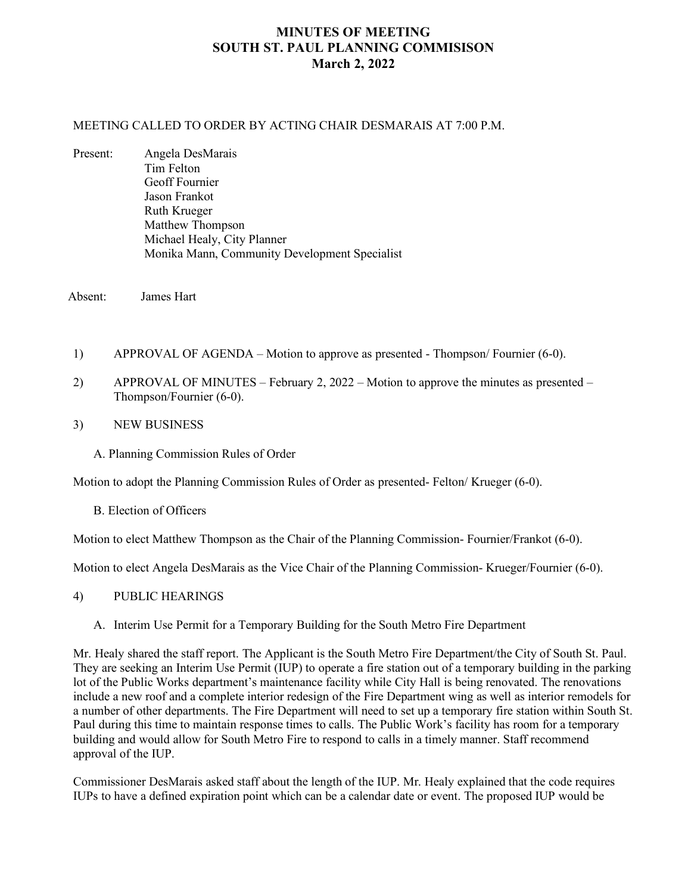# **MINUTES OF MEETING SOUTH ST. PAUL PLANNING COMMISISON March 2, 2022**

#### MEETING CALLED TO ORDER BY ACTING CHAIR DESMARAIS AT 7:00 P.M.

Present: Angela DesMarais Tim Felton Geoff Fournier Jason Frankot Ruth Krueger Matthew Thompson Michael Healy, City Planner Monika Mann, Community Development Specialist

Absent: James Hart

- 1) APPROVAL OF AGENDA Motion to approve as presented Thompson/ Fournier (6-0).
- 2) APPROVAL OF MINUTES February 2, 2022 Motion to approve the minutes as presented Thompson/Fournier (6-0).
- 3) NEW BUSINESS
	- A. Planning Commission Rules of Order

Motion to adopt the Planning Commission Rules of Order as presented- Felton/ Krueger (6-0).

B. Election of Officers

Motion to elect Matthew Thompson as the Chair of the Planning Commission- Fournier/Frankot (6-0).

Motion to elect Angela DesMarais as the Vice Chair of the Planning Commission- Krueger/Fournier (6-0).

- 4) PUBLIC HEARINGS
	- A. Interim Use Permit for a Temporary Building for the South Metro Fire Department

Mr. Healy shared the staff report. The Applicant is the South Metro Fire Department/the City of South St. Paul. They are seeking an Interim Use Permit (IUP) to operate a fire station out of a temporary building in the parking lot of the Public Works department's maintenance facility while City Hall is being renovated. The renovations include a new roof and a complete interior redesign of the Fire Department wing as well as interior remodels for a number of other departments. The Fire Department will need to set up a temporary fire station within South St. Paul during this time to maintain response times to calls. The Public Work's facility has room for a temporary building and would allow for South Metro Fire to respond to calls in a timely manner. Staff recommend approval of the IUP.

Commissioner DesMarais asked staff about the length of the IUP. Mr. Healy explained that the code requires IUPs to have a defined expiration point which can be a calendar date or event. The proposed IUP would be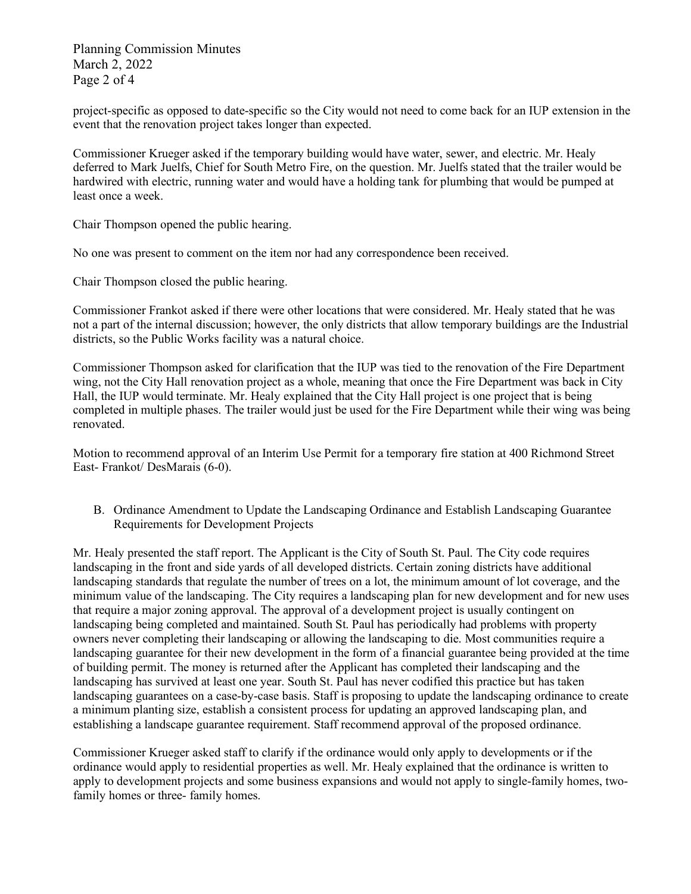Planning Commission Minutes March 2, 2022 Page 2 of 4

project-specific as opposed to date-specific so the City would not need to come back for an IUP extension in the event that the renovation project takes longer than expected.

Commissioner Krueger asked if the temporary building would have water, sewer, and electric. Mr. Healy deferred to Mark Juelfs, Chief for South Metro Fire, on the question. Mr. Juelfs stated that the trailer would be hardwired with electric, running water and would have a holding tank for plumbing that would be pumped at least once a week.

Chair Thompson opened the public hearing.

No one was present to comment on the item nor had any correspondence been received.

Chair Thompson closed the public hearing.

Commissioner Frankot asked if there were other locations that were considered. Mr. Healy stated that he was not a part of the internal discussion; however, the only districts that allow temporary buildings are the Industrial districts, so the Public Works facility was a natural choice.

Commissioner Thompson asked for clarification that the IUP was tied to the renovation of the Fire Department wing, not the City Hall renovation project as a whole, meaning that once the Fire Department was back in City Hall, the IUP would terminate. Mr. Healy explained that the City Hall project is one project that is being completed in multiple phases. The trailer would just be used for the Fire Department while their wing was being renovated.

Motion to recommend approval of an Interim Use Permit for a temporary fire station at 400 Richmond Street East- Frankot/ DesMarais (6-0).

B. Ordinance Amendment to Update the Landscaping Ordinance and Establish Landscaping Guarantee Requirements for Development Projects

Mr. Healy presented the staff report. The Applicant is the City of South St. Paul. The City code requires landscaping in the front and side yards of all developed districts. Certain zoning districts have additional landscaping standards that regulate the number of trees on a lot, the minimum amount of lot coverage, and the minimum value of the landscaping. The City requires a landscaping plan for new development and for new uses that require a major zoning approval. The approval of a development project is usually contingent on landscaping being completed and maintained. South St. Paul has periodically had problems with property owners never completing their landscaping or allowing the landscaping to die. Most communities require a landscaping guarantee for their new development in the form of a financial guarantee being provided at the time of building permit. The money is returned after the Applicant has completed their landscaping and the landscaping has survived at least one year. South St. Paul has never codified this practice but has taken landscaping guarantees on a case-by-case basis. Staff is proposing to update the landscaping ordinance to create a minimum planting size, establish a consistent process for updating an approved landscaping plan, and establishing a landscape guarantee requirement. Staff recommend approval of the proposed ordinance.

Commissioner Krueger asked staff to clarify if the ordinance would only apply to developments or if the ordinance would apply to residential properties as well. Mr. Healy explained that the ordinance is written to apply to development projects and some business expansions and would not apply to single-family homes, twofamily homes or three- family homes.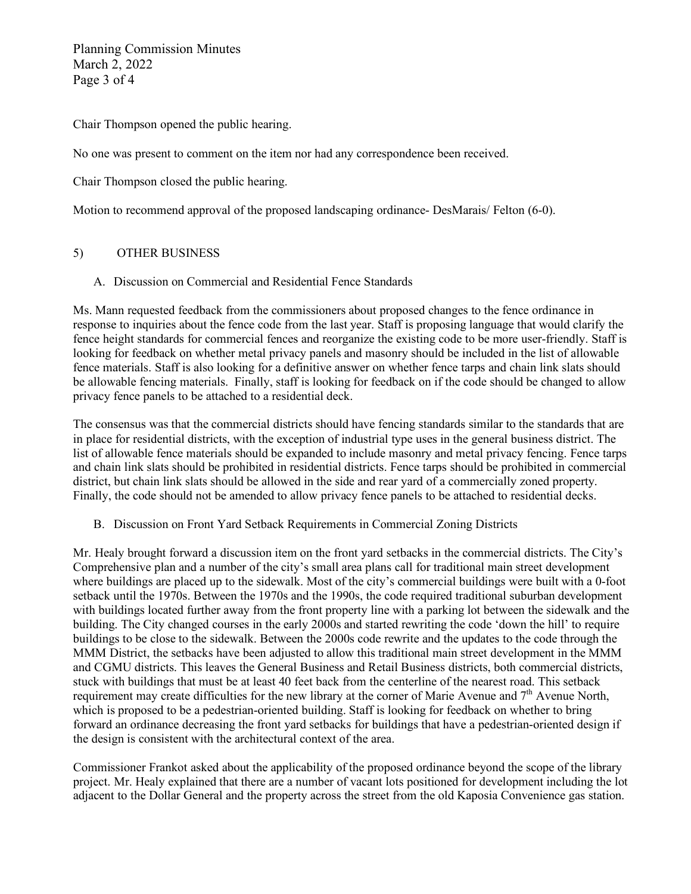Planning Commission Minutes March 2, 2022 Page 3 of 4

Chair Thompson opened the public hearing.

No one was present to comment on the item nor had any correspondence been received.

Chair Thompson closed the public hearing.

Motion to recommend approval of the proposed landscaping ordinance- DesMarais/ Felton (6-0).

## 5) OTHER BUSINESS

## A. Discussion on Commercial and Residential Fence Standards

Ms. Mann requested feedback from the commissioners about proposed changes to the fence ordinance in response to inquiries about the fence code from the last year. Staff is proposing language that would clarify the fence height standards for commercial fences and reorganize the existing code to be more user-friendly. Staff is looking for feedback on whether metal privacy panels and masonry should be included in the list of allowable fence materials. Staff is also looking for a definitive answer on whether fence tarps and chain link slats should be allowable fencing materials. Finally, staff is looking for feedback on if the code should be changed to allow privacy fence panels to be attached to a residential deck.

The consensus was that the commercial districts should have fencing standards similar to the standards that are in place for residential districts, with the exception of industrial type uses in the general business district. The list of allowable fence materials should be expanded to include masonry and metal privacy fencing. Fence tarps and chain link slats should be prohibited in residential districts. Fence tarps should be prohibited in commercial district, but chain link slats should be allowed in the side and rear yard of a commercially zoned property. Finally, the code should not be amended to allow privacy fence panels to be attached to residential decks.

B. Discussion on Front Yard Setback Requirements in Commercial Zoning Districts

Mr. Healy brought forward a discussion item on the front yard setbacks in the commercial districts. The City's Comprehensive plan and a number of the city's small area plans call for traditional main street development where buildings are placed up to the sidewalk. Most of the city's commercial buildings were built with a 0-foot setback until the 1970s. Between the 1970s and the 1990s, the code required traditional suburban development with buildings located further away from the front property line with a parking lot between the sidewalk and the building. The City changed courses in the early 2000s and started rewriting the code 'down the hill' to require buildings to be close to the sidewalk. Between the 2000s code rewrite and the updates to the code through the MMM District, the setbacks have been adjusted to allow this traditional main street development in the MMM and CGMU districts. This leaves the General Business and Retail Business districts, both commercial districts, stuck with buildings that must be at least 40 feet back from the centerline of the nearest road. This setback requirement may create difficulties for the new library at the corner of Marie Avenue and 7<sup>th</sup> Avenue North, which is proposed to be a pedestrian-oriented building. Staff is looking for feedback on whether to bring forward an ordinance decreasing the front yard setbacks for buildings that have a pedestrian-oriented design if the design is consistent with the architectural context of the area.

Commissioner Frankot asked about the applicability of the proposed ordinance beyond the scope of the library project. Mr. Healy explained that there are a number of vacant lots positioned for development including the lot adjacent to the Dollar General and the property across the street from the old Kaposia Convenience gas station.